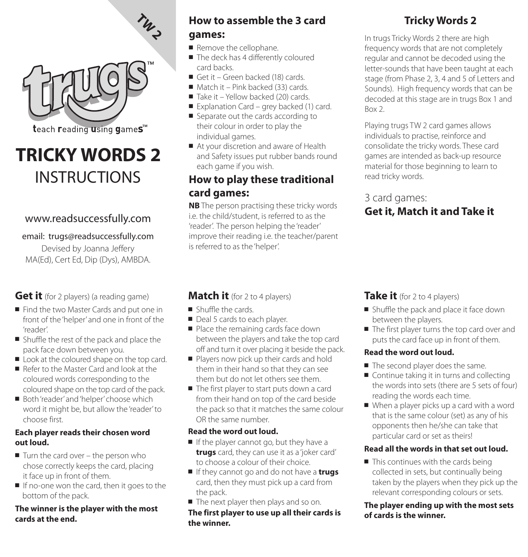

# **TRICKY WORDS 2 INSTRUCTIONS**

## www.readsuccessfully.com

#### email: trugs@readsuccessfully.com

Devised by Joanna Jeffery MA(Ed), Cert Ed, Dip (Dys), AMBDA.

## **Get it** (for 2 players) (a reading game)

- Find the two Master Cards and put one in front of the 'helper' and one in front of the 'reader'.
- Shuffle the rest of the pack and place the pack face down between you.
- Look at the coloured shape on the top card.
- Refer to the Master Card and look at the coloured words corresponding to the coloured shape on the top card of the pack.
- Both 'reader' and 'helper' choose which word it might be, but allow the 'reader' to choose first.

#### **Each player reads their chosen word out loud.**

- Turn the card over the person who chose correctly keeps the card, placing it face up in front of them.
- If no-one won the card, then it goes to the bottom of the pack.

#### **The winner is the player with the most cards at the end.**

# **How to assemble the 3 card games:**

- Remove the cellophane.
- The deck has 4 differently coloured card backs.
- Get it Green backed (18) cards.
- Match it Pink backed (33) cards.
- Take it Yellow backed (20) cards.
- Explanation Card grey backed (1) card.
- Separate out the cards according to their colour in order to play the individual games.
- At your discretion and aware of Health and Safety issues put rubber bands round each game if you wish.

## **How to play these traditional card games:**

**NB** The person practising these tricky words i.e. the child/student, is referred to as the 'reader'. The person helping the 'reader' improve their reading i.e. the teacher/parent is referred to as the 'helper'.

# **Tricky Words 2**

In trugs Tricky Words 2 there are high frequency words that are not completely regular and cannot be decoded using the letter-sounds that have been taught at each stage (from Phase 2, 3, 4 and 5 of Letters and Sounds). High frequency words that can be decoded at this stage are in trugs Box 1 and Box 2.

Playing trugs TW 2 card games allows individuals to practise, reinforce and consolidate the tricky words. These card games are intended as back-up resource material for those beginning to learn to read tricky words.

# 3 card games:

# **Get it, Match it and Take it**

## **Match it** (for 2 to 4 players)

- Shuffle the cards.
- Deal 5 cards to each player.
- Place the remaining cards face down between the players and take the top card off and turn it over placing it beside the pack.
- Players now pick up their cards and hold them in their hand so that they can see them but do not let others see them.
- The first player to start puts down a card from their hand on top of the card beside the pack so that it matches the same colour OR the same number.

### **Read the word out loud.**

- If the player cannot go, but they have a **trugs** card, they can use it as a 'joker card' to choose a colour of their choice.
- If they cannot go and do not have a **trugs** card, then they must pick up a card from the pack.
- The next player then plays and so on.

**The first player to use up all their cards is the winner.**

**Take it** (for 2 to 4 players)

- Shuffle the pack and place it face down between the players.
- The first player turns the top card over and puts the card face up in front of them.

## **Read the word out loud.**

- The second player does the same.
- Continue taking it in turns and collecting the words into sets (there are 5 sets of four) reading the words each time.
- When a player picks up a card with a word that is the same colour (set) as any of his opponents then he/she can take that particular card or set as theirs!

## **Read all the words in that set out loud.**

■ This continues with the cards being collected in sets, but continually being taken by the players when they pick up the relevant corresponding colours or sets.

#### **The player ending up with the most sets of cards is the winner.**